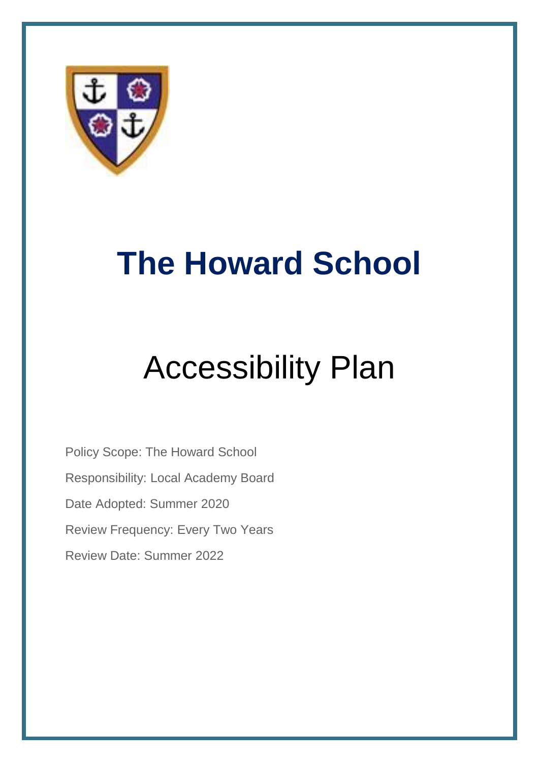

## **The Howard School**

# Accessibility Plan

Policy Scope: The Howard School Responsibility: Local Academy Board Date Adopted: Summer 2020 Review Frequency: Every Two Years Review Date: Summer 2022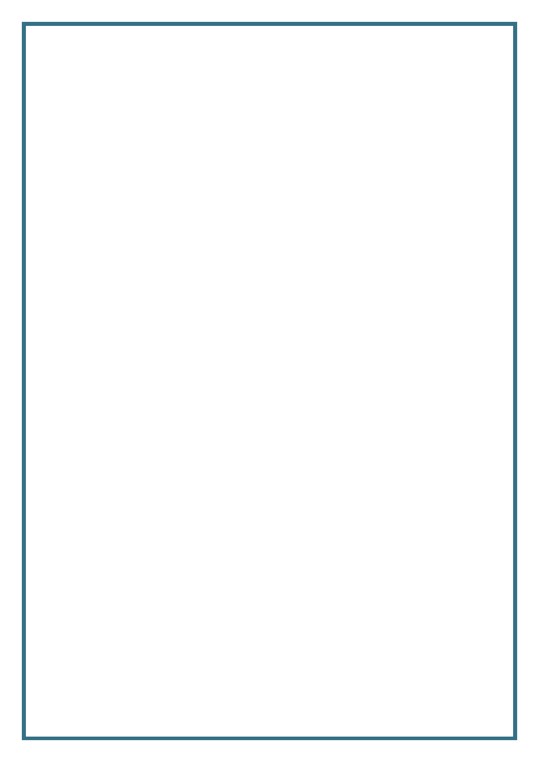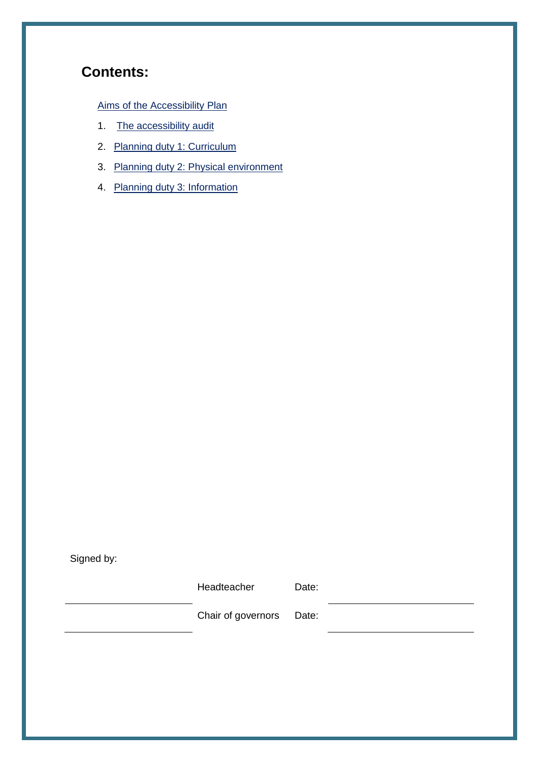### **Contents:**

[Aims of the Accessibility Plan](#page-3-0)

- 1. [The accessibility audit](#page-4-0)
- 2. [Planning duty 1: Curriculum](#page-5-0)
- 3. [Planning duty 2: Physical environment](#page-8-0)
- 4. [Planning duty 3: Information](#page-9-0)

Signed by:

Headteacher Date:

Chair of governors Date: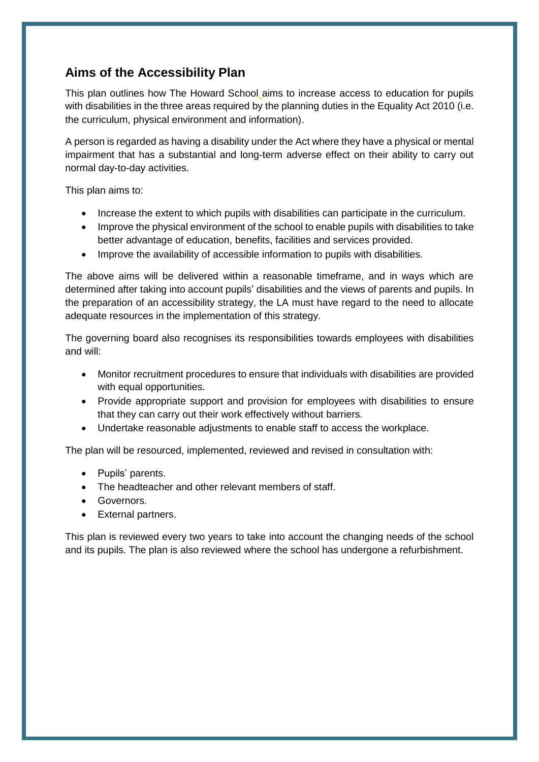### <span id="page-3-0"></span>**Aims of the Accessibility Plan**

This plan outlines how The Howard School aims to increase access to education for pupils with disabilities in the three areas required by the planning duties in the Equality Act 2010 (i.e. the curriculum, physical environment and information).

A person is regarded as having a disability under the Act where they have a physical or mental impairment that has a substantial and long-term adverse effect on their ability to carry out normal day-to-day activities.

This plan aims to:

- Increase the extent to which pupils with disabilities can participate in the curriculum.
- Improve the physical environment of the school to enable pupils with disabilities to take better advantage of education, benefits, facilities and services provided.
- Improve the availability of accessible information to pupils with disabilities.

The above aims will be delivered within a reasonable timeframe, and in ways which are determined after taking into account pupils' disabilities and the views of parents and pupils. In the preparation of an accessibility strategy, the LA must have regard to the need to allocate adequate resources in the implementation of this strategy.

The governing board also recognises its responsibilities towards employees with disabilities and will:

- Monitor recruitment procedures to ensure that individuals with disabilities are provided with equal opportunities.
- Provide appropriate support and provision for employees with disabilities to ensure that they can carry out their work effectively without barriers.
- Undertake reasonable adjustments to enable staff to access the workplace.

The plan will be resourced, implemented, reviewed and revised in consultation with:

- Pupils' parents.
- The headteacher and other relevant members of staff.
- Governors.
- External partners.

This plan is reviewed every two years to take into account the changing needs of the school and its pupils. The plan is also reviewed where the school has undergone a refurbishment.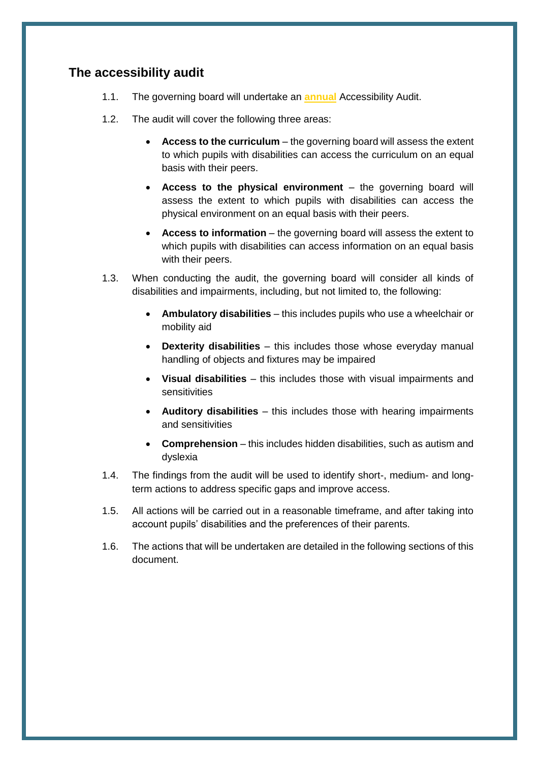#### <span id="page-4-0"></span>**The accessibility audit**

- 1.1. The governing board will undertake an **annual** Accessibility Audit.
- 1.2. The audit will cover the following three areas:
	- **Access to the curriculum**  the governing board will assess the extent to which pupils with disabilities can access the curriculum on an equal basis with their peers.
	- **Access to the physical environment**  the governing board will assess the extent to which pupils with disabilities can access the physical environment on an equal basis with their peers.
	- **Access to information** the governing board will assess the extent to which pupils with disabilities can access information on an equal basis with their peers.
- 1.3. When conducting the audit, the governing board will consider all kinds of disabilities and impairments, including, but not limited to, the following:
	- **Ambulatory disabilities**  this includes pupils who use a wheelchair or mobility aid
	- **Dexterity disabilities**  this includes those whose everyday manual handling of objects and fixtures may be impaired
	- **Visual disabilities**  this includes those with visual impairments and sensitivities
	- **Auditory disabilities**  this includes those with hearing impairments and sensitivities
	- **Comprehension**  this includes hidden disabilities, such as autism and dyslexia
- 1.4. The findings from the audit will be used to identify short-, medium- and longterm actions to address specific gaps and improve access.
- 1.5. All actions will be carried out in a reasonable timeframe, and after taking into account pupils' disabilities and the preferences of their parents.
- 1.6. The actions that will be undertaken are detailed in the following sections of this document.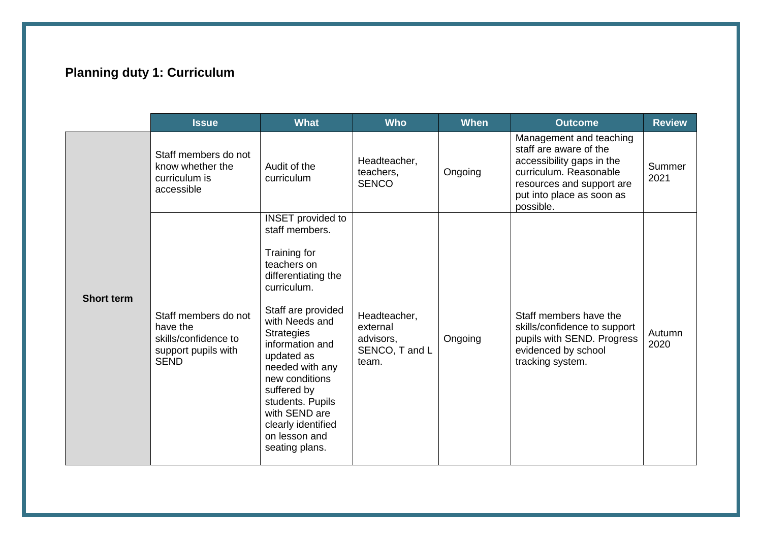## **Planning duty 1: Curriculum**

<span id="page-5-0"></span>

|                   | <b>Issue</b>                                                                                   | <b>What</b>                                                                                                                                                                                                                                                                                                                                                     | <b>Who</b>                                                       | When    | <b>Outcome</b>                                                                                                                                                                  | <b>Review</b>  |
|-------------------|------------------------------------------------------------------------------------------------|-----------------------------------------------------------------------------------------------------------------------------------------------------------------------------------------------------------------------------------------------------------------------------------------------------------------------------------------------------------------|------------------------------------------------------------------|---------|---------------------------------------------------------------------------------------------------------------------------------------------------------------------------------|----------------|
|                   | Staff members do not<br>know whether the<br>curriculum is<br>accessible                        | Audit of the<br>curriculum                                                                                                                                                                                                                                                                                                                                      | Headteacher,<br>teachers,<br><b>SENCO</b>                        | Ongoing | Management and teaching<br>staff are aware of the<br>accessibility gaps in the<br>curriculum. Reasonable<br>resources and support are<br>put into place as soon as<br>possible. | Summer<br>2021 |
| <b>Short term</b> | Staff members do not<br>have the<br>skills/confidence to<br>support pupils with<br><b>SEND</b> | <b>INSET</b> provided to<br>staff members.<br>Training for<br>teachers on<br>differentiating the<br>curriculum.<br>Staff are provided<br>with Needs and<br><b>Strategies</b><br>information and<br>updated as<br>needed with any<br>new conditions<br>suffered by<br>students. Pupils<br>with SEND are<br>clearly identified<br>on lesson and<br>seating plans. | Headteacher,<br>external<br>advisors,<br>SENCO, T and L<br>team. | Ongoing | Staff members have the<br>skills/confidence to support<br>pupils with SEND. Progress<br>evidenced by school<br>tracking system.                                                 | Autumn<br>2020 |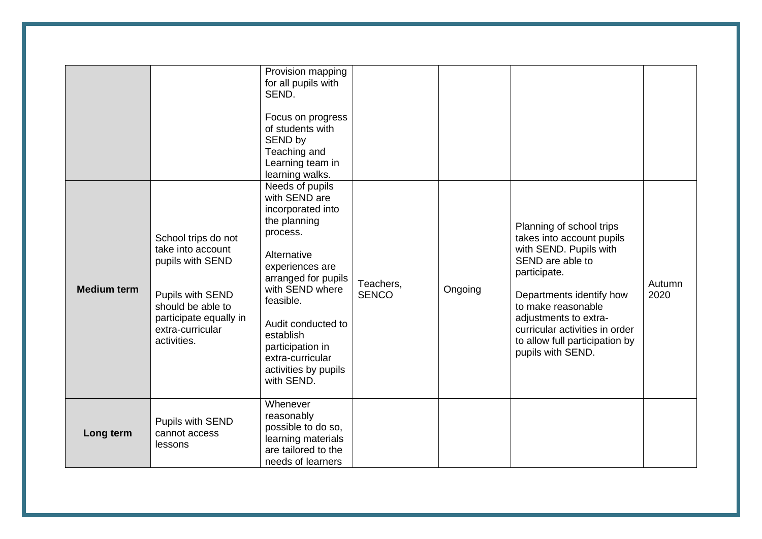|                    |                                                                                                                                                                    | Provision mapping<br>for all pupils with<br>SEND.                                                                                                                                                                                                                                           |                           |         |                                                                                                                                                                                                                                                                                         |                |
|--------------------|--------------------------------------------------------------------------------------------------------------------------------------------------------------------|---------------------------------------------------------------------------------------------------------------------------------------------------------------------------------------------------------------------------------------------------------------------------------------------|---------------------------|---------|-----------------------------------------------------------------------------------------------------------------------------------------------------------------------------------------------------------------------------------------------------------------------------------------|----------------|
|                    |                                                                                                                                                                    | Focus on progress<br>of students with<br>SEND by<br>Teaching and<br>Learning team in<br>learning walks.                                                                                                                                                                                     |                           |         |                                                                                                                                                                                                                                                                                         |                |
| <b>Medium term</b> | School trips do not<br>take into account<br>pupils with SEND<br>Pupils with SEND<br>should be able to<br>participate equally in<br>extra-curricular<br>activities. | Needs of pupils<br>with SEND are<br>incorporated into<br>the planning<br>process.<br>Alternative<br>experiences are<br>arranged for pupils<br>with SEND where<br>feasible.<br>Audit conducted to<br>establish<br>participation in<br>extra-curricular<br>activities by pupils<br>with SEND. | Teachers,<br><b>SENCO</b> | Ongoing | Planning of school trips<br>takes into account pupils<br>with SEND. Pupils with<br>SEND are able to<br>participate.<br>Departments identify how<br>to make reasonable<br>adjustments to extra-<br>curricular activities in order<br>to allow full participation by<br>pupils with SEND. | Autumn<br>2020 |
| Long term          | Pupils with SEND<br>cannot access<br>lessons                                                                                                                       | Whenever<br>reasonably<br>possible to do so,<br>learning materials<br>are tailored to the<br>needs of learners                                                                                                                                                                              |                           |         |                                                                                                                                                                                                                                                                                         |                |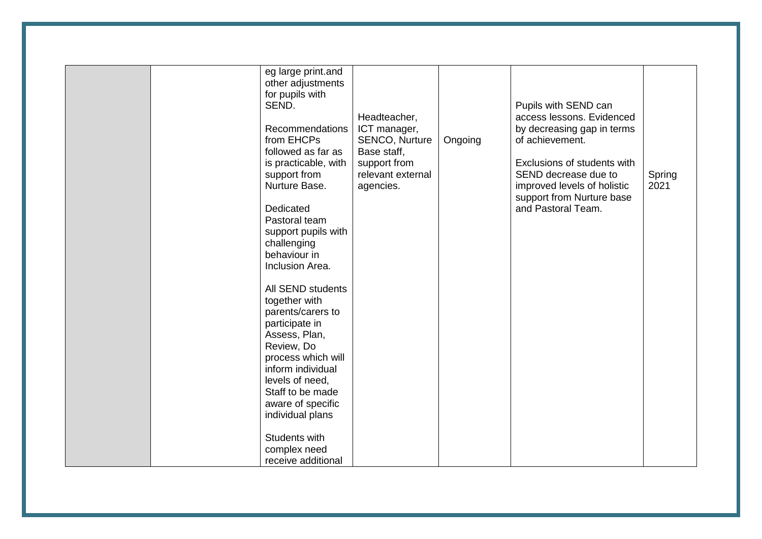| complex need |
|--------------|
|--------------|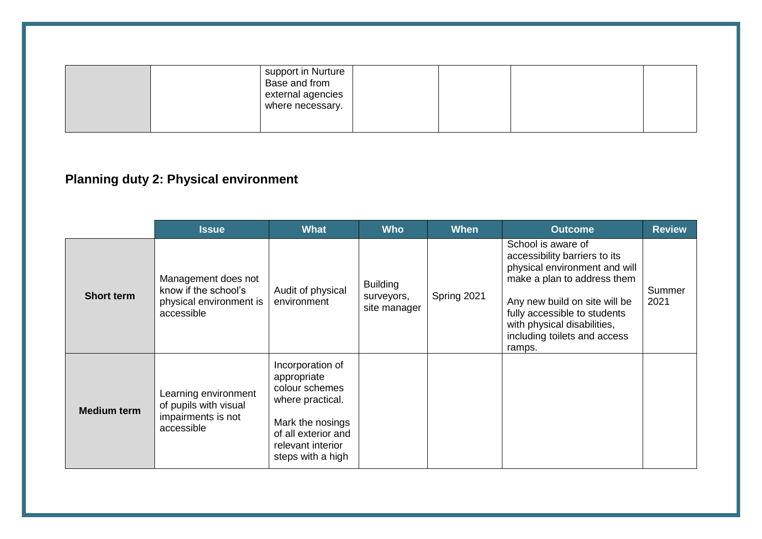## **Planning duty 2: Physical environment**

<span id="page-8-0"></span>

|                    | <b>Issue</b>                                                                         | <b>What</b>                                                                                                                                                | <b>Who</b>                                    | <b>When</b> | <b>Outcome</b>                                                                                                                                                                                                                                                | <b>Review</b>  |
|--------------------|--------------------------------------------------------------------------------------|------------------------------------------------------------------------------------------------------------------------------------------------------------|-----------------------------------------------|-------------|---------------------------------------------------------------------------------------------------------------------------------------------------------------------------------------------------------------------------------------------------------------|----------------|
| <b>Short term</b>  | Management does not<br>know if the school's<br>physical environment is<br>accessible | Audit of physical<br>environment                                                                                                                           | <b>Building</b><br>surveyors,<br>site manager | Spring 2021 | School is aware of<br>accessibility barriers to its<br>physical environment and will<br>make a plan to address them<br>Any new build on site will be<br>fully accessible to students<br>with physical disabilities,<br>including toilets and access<br>ramps. | Summer<br>2021 |
| <b>Medium term</b> | Learning environment<br>of pupils with visual<br>impairments is not<br>accessible    | Incorporation of<br>appropriate<br>colour schemes<br>where practical.<br>Mark the nosings<br>of all exterior and<br>relevant interior<br>steps with a high |                                               |             |                                                                                                                                                                                                                                                               |                |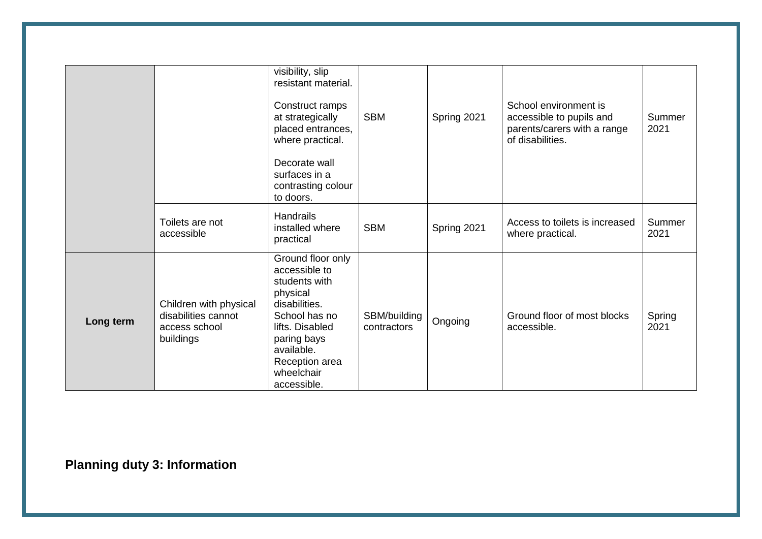|           |                                                                             | visibility, slip<br>resistant material.<br>Construct ramps<br>at strategically<br>placed entrances,<br>where practical.<br>Decorate wall<br>surfaces in a<br>contrasting colour<br>to doors.     | <b>SBM</b>                  | Spring 2021 | School environment is<br>accessible to pupils and<br>parents/carers with a range<br>of disabilities. | Summer<br>2021 |
|-----------|-----------------------------------------------------------------------------|--------------------------------------------------------------------------------------------------------------------------------------------------------------------------------------------------|-----------------------------|-------------|------------------------------------------------------------------------------------------------------|----------------|
|           | Toilets are not<br>accessible                                               | <b>Handrails</b><br>installed where<br>practical                                                                                                                                                 | <b>SBM</b>                  | Spring 2021 | Access to toilets is increased<br>where practical.                                                   | Summer<br>2021 |
| Long term | Children with physical<br>disabilities cannot<br>access school<br>buildings | Ground floor only<br>accessible to<br>students with<br>physical<br>disabilities.<br>School has no<br>lifts. Disabled<br>paring bays<br>available.<br>Reception area<br>wheelchair<br>accessible. | SBM/building<br>contractors | Ongoing     | Ground floor of most blocks<br>accessible.                                                           | Spring<br>2021 |

<span id="page-9-0"></span>**Planning duty 3: Information**